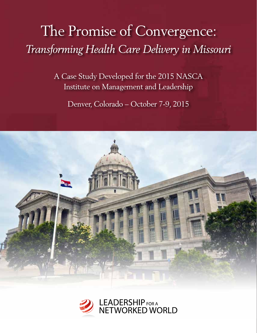# The Promise of Convergence: *Transforming Health Care Delivery in Missouri*

A Case Study Developed for the 2015 NASCA Institute on Management and Leadership

Denver, Colorado – October 7-9, 2015



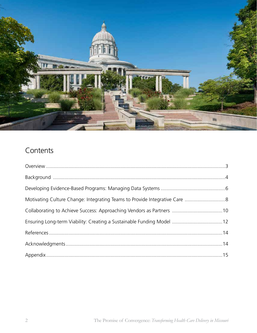

# Contents

| Motivating Culture Change: Integrating Teams to Provide Integrative Care 8 |  |
|----------------------------------------------------------------------------|--|
|                                                                            |  |
| Ensuring Long-term Viability: Creating a Sustainable Funding Model 12      |  |
|                                                                            |  |
|                                                                            |  |
|                                                                            |  |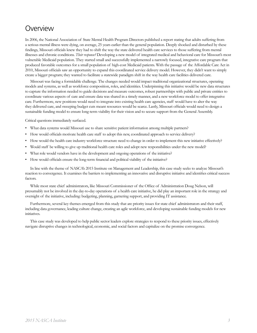### Overview

In 2006, the National Association of State Mental Health Program Directors published a report stating that adults suffering from a serious mental illness were dying, on average, 25 years earlier than the general population. Deeply shocked and disturbed by these findings, Missouri officials knew they had to shift the way the state delivered health care services to those suffering from mental illnesses and chronic conditions. *Their response?* Developing a new model of integrated medical and behavioral care for Missouri's most vulnerable Medicaid population. They started small and successfully implemented a narrowly focused, integrative care program that produced favorable outcomes for a small population of high-cost Medicaid patients. With the passage of the Affordable Care Act in 2010, Missouri officials saw an opportunity to expand this coordinated service delivery model. However, they didn't want to simply create a bigger program; they wanted to facilitate a statewide paradigm shift in the way health care facilities delivered care.

Missouri was facing a formidable challenge. The changes needed would impact traditional organizational structures, operating models and systems, as well as workforce composition, roles, and identities. Underpinning this initiative would be new data structures to capture the information needed to guide decisions and measure outcomes, robust partnerships with public and private entities to coordinate various aspects of care and ensure data was shared in a timely manner, and a new workforce model to offer integrative care. Furthermore, new positions would need to integrate into existing health care agencies, staff would have to alter the way they delivered care, and sweeping budget cuts meant resources would be scarce. Lastly, Missouri officials would need to design a sustainable funding model to ensure long-term viability for their vision and to secure support from the General Assembly.

Critical questions immediately surfaced.

- What data systems would Missouri use to share sensitive patient information among multiple partners?
- How would officials motivate health care staff to adopt this new, coordinated approach to service delivery?
- How would the health care industry workforce structure need to change in order to implement this new initiative effectively?
- Would staff be willing to give up traditional health care roles and adopt new responsibilities under the new model?
- What role would vendors have in the development and ongoing operations of the initiative?
- How would officials ensure the long-term financial and political viability of the initiative?

In line with the theme of NASCA's 2015 Institute on Management and Leadership, this case study seeks to analyze Missouri's reaction to convergence. It examines the barriers to implementing an innovative and disruptive initiative and identifies critical success factors.

While most state chief administrators, like Missouri Commissioner of the Office of Administration Doug Nelson, will presumably not be involved in the day-to-day operations of a health care initiative, he did play an important role in the strategy and oversight of the initiative, including: budgeting, planning, garnering support, and providing IT assistance.

Furthermore, several key themes emerged from this study that are priority issues for state chief administrators and their staff, including data governance, leading culture change, creating an agile workforce, and developing sustainable funding models for new initiatives.

This case study was developed to help public sector leaders explore strategies to respond to these priority issues, effectively navigate disruptive changes in technological, economic, and social factors and capitalize on the promise convergence.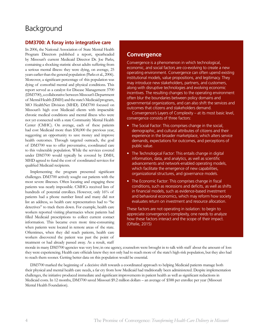# Background

#### **DM3700: A foray into integrative care**

In 2006, the National Association of State Mental Health Program Directors published a report, spearheaded by Missouri's current Medicaid Director Dr. Joe Parks, containing a shocking statistic about adults suffering from a serious mental illness: they were dying, on average, 25 years earlier than the general population (Parks et al., 2006). Moreover, a significant percentage of this population was dying of comorbid mental and physical conditions. This report served as a catalyst for Disease Management 3700 (DM3700), a collaborative between Missouri's Department of Mental Health (DMH) and the state's Medicaid program, MO HealthNet Division (MHD). DM3700 focused on Missouri's high cost Medicaid clients with impactable chronic medical conditions and mental illness who were not yet connected with a state Community Mental Health Center (CMHC). On average, each of these patients had cost Medicaid more than \$38,000 the previous year, suggesting an opportunity to save money and improve health outcomes. Through targeted outreach, the goal of DM3700 was to offer preventative, coordinated care to this vulnerable population. While the services covered under DM3700 would typically be covered by DMH, MHD agreed to fund the cost of coordinated services for qualified Medicaid recipients.

Implementing the program presented significant challenges. DM3700 actively sought out patients with the most severe illnesses. Often locating and engaging these patients was nearly impossible. CMHCs received lists of hundreds of potential enrollees. However, only 16% of patients had a phone number listed and many did not list an address, so health care representatives had to "be detectives" to track them down. For example, health care workers reported visiting pharmacies where patients had filled Medicaid prescriptions to collect current contact information. This became even more time-consuming when patients were located in remote areas of the state. Oftentimes, when they did reach patients, health care workers discovered the patient was past the point of treatment or had already passed away. As a result, staff

#### **Convergence**

Convergence is a phenomenon in which technological, economic, and social factors are co-evolving to create a new operating environment. Convergence can often upend existing institutional models, value propositions, and legitimacy. They may introduce new stakeholders, partners, and customers, along with disruptive technologies and evolving economic incentives. The resulting changes to the operating environment often blur the boundaries between policy domains and governmental organizations, and can also shift the services and outcomes that citizens and stakeholders demand.

Convergence's Layers of Complexity – at its most basic level, convergence consists of three factors:

- The Social Factor: This comprises change in the social, demographic, and cultural attributes of citizens and their experience in the broader marketplace, which alters service demands, expectations for outcomes, and perceptions of public value.
- The Technological Factor: This entails change in digital information, data, and analytics, as well as scientific advancements and network-enabled operating models, which facilitate the emergence of new capabilities, organizational structures, and governance models.
- The Economic Factor: This comprises change in fiscal conditions, such as recessions and deficits, as well as shifts in financial models, such as evidence-based investment and behavioral economics, which may reform how society evaluates return on investment and resource allocation.

These factors are not operating in isolation: to begin to appreciate convergence's complexity, one needs to analyze how these factors interact and the scope of their impact. (Oftelie, 2015)

morale in many DM3700 agencies was very low; in one agency, counselors were brought in to talk with staff about the amount of loss they were experiencing. Health care officials knew they not only had to reach more of the state's high-risk population, but they also had to reach them sooner. Getting better data on this population would be essential.

DM3700 marked the beginning of a decisive shift towards a coordinated approach to helping Medicaid patients manage both their physical and mental health care needs, a far cry from how Medicaid had traditionally been administered. Despite implementation challenges, the initiative produced immediate and significant improvements in patient health as well as significant reductions in Medicaid costs. In 12 months, DM3700 saved Missouri \$9.2 million dollars – an average of \$588 per enrollee per year (Missouri Mental Health Foundation).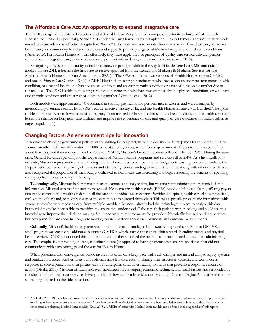#### **The Affordable Care Act: An opportunity to expand integrative care**

The 2010 passage of the Patient Protection and Affordable Care Act presented a unique opportunity to build off of the early successes of DM3700. Specifically, Section 2703 under the law allowed states to implement Health Homes - a service delivery model intended to provide a cost effective, longitudinal "home" to facilitate access to an interdisciplinary array of medical care, behavioral health care, and community based social services and supports, primarily targeted at Medicaid recipients with chronic conditions (Parks, 2015). For Health Homes to work effectively, they must apply the five principles of quality care service delivery: personcentered care, integrated care, evidence-based care, population-based care, and data-driven care (Parks, 2015).

Recognizing this as an opportunity to initiate a statewide paradigm shift in the way facilities delivered care, Missouri quickly applied. In late 2011, it became the first state to receive approval from the Centers for Medicare & Medicaid Services for two Medicaid Health Home State Plan Amendments (SPAs). 1 The SPAs established two versions of Health Homes: one in CHMCs and one in Primary Care Clinics (PCCs). CMHC Health Homes target beneficiaries who have a serious and persistent mental health condition, or a mental health or substance abuse condition and another chronic condition or a risk of developing another due to tobacco use. The PCC Health Homes target Medicaid beneficiaries who have two or more chronic physical conditions, or who have one chronic condition and are at risk of developing another (Nardone et al., 2012).

Both models were approximately 70% identical in staffing, payments, and performance measures, and were managed by interlocking governance teams. Both SPAs became effective January 2012, and the Health Homes initiative was launched. The goals of Health Homes were to lower rates of emergency room use, reduce hospital admissions and readmissions, reduce health care costs, lessen the reliance on long-term care facilities, and improve the experience of care and quality of care outcomes for individuals in its target population(s).

#### **Changing Factors: An environment ripe for innovation**

In addition to changing government policies, other shifting factors precipitated the decision to develop the Health Homes initiative. **Economically,** the financial downturn in 2008 led to state budget cuts, which forced government officials to think resourcefully about how to spend their money. From FY 2008 to FY 2010, Missouri's General Revenue collections fell by 12.9%. During the same time, General Revenue spending for the Department of Mental Health's programs and services fell by 2.4%. As a historically lowtax state, Missouri representatives knew finding additional resources to compensate for budget cuts was improbable. Therefore, the Department focused on improving efficiencies and identifying federal funding to match state funds. Along with other states, Missouri also recognized the proportion of their budget dedicated to health care was increasing and began assessing the benefits of spending money up front to save money in the long run.

**Technologically,** Missouri had systems in place to capture and analyze data, but was not yet maximizing the potential of this information. Missouri was the first state to make available electronic health records (EHRs) based on Medicaid claims, offering payers (insurance companies) a wealth of data on all the care an individual was receiving. Providers (hospitals, health care clinics, physicians, etc.), on the other hand, were only aware of the care they administered themselves. This was especially problematic for patients with severe issues who were receiving care from multiple providers. Missouri already had the technology in place to analyze this data, but needed to make it accessible to providers to ensure they understood all the care their patients were receiving and could use this knowledge to improve their decision-making. Simultaneously, reimbursements for providers, historically focused on direct services but now given for care coordination, were moving towards performance-based payments and outcome measurements.

**Culturally,** Missouri's health care system was in the middle of a paradigm shift towards integrated care. Prior to DM3700, a small program was created to add nurse liaisons to CMHCs, which started the cultural shift towards blending mental and physical health services. DM3700 continued this momentum and further solidified the benefits of a coordinated approach to administering care. This emphasis on providing holistic, coordinated care (as opposed to having patients visit separate specialists that did not communicate with each other), paved the way for Health Homes.

When presented with convergence, public institutions often can't keep pace with such changes and instead cling to legacy systems and outdated practices. Furthermore, public officials have less discretion to change their structures, systems, and workforce in response to convergence than their private sector counterparts, oftentimes leading to inertia that prevents a responsive course of action (Oftelie, 2015). Missouri officials, however, capitalized on converging economic, technical, and social factors and responded by transforming their health care service delivery model. Following the advice Missouri Medicaid Director Dr. Joe Parks offered to other states, they "[e]rred on the side of action."

<sup>1</sup> As of May 2015, 19 states have approved SPAs, with some states submitting multiple SPAs to target different populations or phase-in regional implementation (resulting in 26 unique models across these states). More than one million Medicaid beneficiaries have been enrolled in Health Homes to date. Nearly a dozen other states are planning Health Home models (CMS, 2015). A full list of states with Health Home models can be found in the Appendix of this report.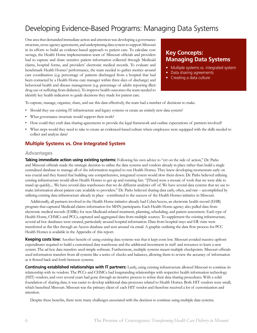# Developing Evidence-Based Programs: Managing Data Systems

One area that demanded immediate action and attention was developing a governance structure, cross-agency agreements, and underpinning data system to support Missouri in its efforts to build an evidence-based approach to patient care. To calculate cost savings, the Health Home implementation team of Missouri officials and providers had to capture and share sensitive patient information collected through Medicaid claims, hospital forms, and providers' electronic medical records. To evaluate and benchmark Health Homes' performance, the team needed to gather metrics around care coordination (e.g. percentage of patients discharged from a hospital that had been contacted by a Health Home care manager within three days of discharge) and behavioral health and disease management (e.g. percentage of adults reporting illicit drug use or suffering from diabetes). To improve health outcomes the team needed to identify key health indicators to guide decisions they made for patient care.

### **Key Concepts: Managing Data Systems**

- Multiple systems vs. integrated system
- Data sharing agreements
- Creating a data culture

To capture, manage, organize, share, and use this data effectively, the team had a number of decisions to make.

- Should they use existing IT infrastructure and legacy systems or create an entirely new data system?
- What governance structure would support their work?
- How could they craft data sharing agreements to provide the legal framework and outline expectations of partners involved?
- What steps would they need to take to create an evidenced-based culture where employees were equipped with the skills needed to collect and analyze data?

#### **Multiple Systems vs. One Integrated System**

#### **Advantages**

**Taking immediate action using existing systems:** Following his own advice to "err on the side of action," Dr. Parks and Missouri officials made the strategic decision to utilize the data systems and vendors already in place rather than build a single centralized database to manage all of the information required to run Health Homes. They knew developing momentum early on was crucial and they feared that building one comprehensive, integrated system would slow them down. Dr. Parks believed utilizing existing infrastructure would allow Health Homes to get up and running fast. "[There] were a mosaic of tools that we were able to stand up quickly.... We have several data warehouses that we do different analytics off of. We have several data systems that we use to make information about patient care available to providers." Dr. Parks believed sharing data early, often, and raw – accomplished by utilizing existing data infrastructure already in place - contributed to the success of the Health Homes initiative in Missouri.

Additionally, all partners involved in the Health Home initiative already had CyberAccess, an electronic health record (EHR) program that captured Medicaid claims information for MHN participants. Each Health Home agency also pulled data from electronic medical records (EMRs) for non-Medicaid-related treatment, planning, scheduling, and patient assessment. Each type of Health Home, CHMCs and PCCs, captured and aggregated data from multiple sources. To supplement the existing infrastructure, several ad hoc databases were created, particularly around hospital information. Data from hospital stays and ER visits were transferred as flat files through an Access database and sent around via email. A graphic outlining the data flow process for PCC Health Homes is available in the Appendix of this report.

**Keeping costs low:** Another benefit of using existing data systems was that it kept costs low. Missouri avoided massive upfront expenditures required to build a customized data warehouse and the additional investment in staff and resources to learn a new system. The ad hoc data transfers used simple software. Furthermore, multiple systems meant multiple checkpoints. Missouri officials used information transfers from all systems like a series of checks and balances, allowing them to review the accuracy of information as it flowed back and forth between systems.

**Continuing established relationships with IT partners:** Lastly, using existing infrastructure allowed Missouri to continue its relationship with its vendors. The PCCs and CHMCs had longstanding relationships with respective health information technology (HIT) vendors, and over several years had gone through an iterative process to refine their data sharing procedures. With a solid foundation of sharing data, it was easier to develop additional data processes related to Health Homes. Both HIT vendors were small, which benefited Missouri. Missouri was the primary client of each HIT vendor and therefore received a lot of customization and attention.

Despite these benefits, there were many challenges associated with the decision to continue using multiple data systems.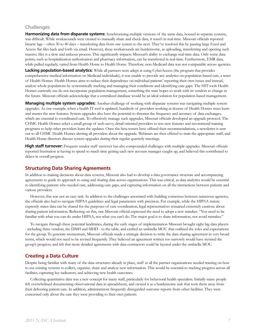#### **Challenges**

**Harmonizing data from disparate systems:** Synchronizing multiple versions of the same data, housed in separate systems, was difficult. While workarounds were created to manually share and check data, it wasn't in real-time. Missouri officials reported bizarre lags – often 30 to 40 days – transferring data from one system to the next. They've resolved this by passing large Excel and Access flat files back and forth via email. However, these workarounds are burdensome, as uploading, transferring and opening such massive files is a slow and arduous process. This significantly impacts Missouri's ability to exchange real-time data. Only some data points, such as hospitalization authorization and pharmacy information, can be transferred in real-time. Furthermore, EMR data, while pulled regularly, varied from Health Home to Health Home. Therefore, non-Medicaid data was not comparable across agencies.

**Lacking population-based analytics:** While all partners were adept at using CyberAccess (the program that provides comprehensive medical information on Medicaid individuals), it was unable to provide any analytics on population-based care, a tenet of Health Homes. Health Homes aims to reduce their dependence on individual patients' reporting their own issues and instead, analyze whole populations by systematically tracking and managing their conditions and identifying care gaps. The HIT tools Health Homes currently use do not incorporate population-management, something the state hopes to work with its vendors to change in the future. Missouri officials acknowledge that a centralized database would be an ideal solution for population-based management.

**Managing multiple system upgrades:** Another challenge of working with disparate systems was navigating multiple system upgrades. As one example, when a health IT tool is updated, hundreds of providers working at dozens of Health Homes must learn and master the new features. System upgrades also have the potential to threaten the frequency and accuracy of data exchanges, which are essential to coordinated care. To effectively manage such upgrades, Missouri officials developed an upgrade protocol. The CHMC Health Homes select a small group of tech-savvy, detail-oriented providers to test new features and recommend training programs to help other providers learn the updates. Once the beta testers have offered their recommendations, a newsletter is sent out to all CHMC Health Homes alerting all providers about the upgrade. Webinars are then offered to train the appropriate staff, and Health Home directors discuss system upgrades during their regular quarterly meetings.

**High staff turnover:** Frequent vendor staff turnover has also compounded challenges with multiple upgrades. Missouri officials reported frustration at having to spend so much time getting each new account manager caught up, and believed this contributed to delays in overall progress.

#### **Structuring Data Sharing Agreements**

In addition to making decisions about data systems, Missouri also had to develop a data governance structure and accompanying agreements to guide its approach to using and sharing data across organizations. This was critical, as data analytics would be essential to identifying patients who needed care, addressing care gaps, and capturing information on all the interactions between patients and various providers.

However, this was not an easy task. In addition to the challenges associated with building consensus between numerous agencies, the officials also had to navigate HIPAA guidelines and legal parameters with precision. For example, while the HIPAA statute expressly states data can be shared for the purposes of care coordination, legal representatives remained extremely cautious about sharing patient information. Reflecting on this, one Missouri official expressed the need to adopt a new mindset. "You need to be familiar with what you can do under HIPAA, not what you can't do. The major goal is to share information, not avoid mistakes."

To navigate through these potential landmines, during the early stages of implementation Missouri brought eight big data players - including three vendors, the DMH and MHD - to the table, and crafted an umbrella MOU that outlined the roles and expectations for the group. To generate momentum, Missouri officials made a strategic decision to write the data sharing agreement in very broad terms, which would not need to be revised frequently. They believed an agreement written too narrowly would have stymied the group's progress, and felt that more detailed agreements with data contractors could be layered under the umbrella MOU.

#### **Creating a Data Culture**

Despite being familiar with many of the data structures already in place, staff at all the partner organizations needed training on how to use existing systems to collect, organize, share and analyze new information. This would be essential to tracking progress across all facilities, capturing key indicators, and achieving new health outcomes.

Collecting quantitative data was a new concept for many staff, particularly for behavioral health specialists. Initially many people felt overwhelmed documenting observational data in spreadsheets, and viewed it as a burdensome task that took them away from their delivering patient care. In addition, administrators frequently disregarded outcome reports from other facilities. They were concerned only about the care they were providing to their own patients.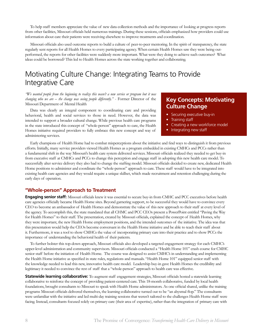To help staff members appreciate the value of new data collection methods and the importance of looking at progress reports from other facilities, Missouri officials held numerous trainings. During these sessions, officials emphasized how providers could use information about care their patients were receiving elsewhere to improve treatments and coordination.

Missouri officials also used outcome reports to build a culture of peer-to-peer mentoring. In the spirit of transparency, the state regularly sent reports for all Health Homes to every participating agency. When certain Health Homes saw they were being outperformed, the reports for other facilities were suddenly more important. What were they doing to achieve such outcomes? What ideas could be borrowed? This led to Health Homes across the state working together and collaborating.

### Motivating Culture Change: Integrating Teams to Provide Integrative Care

*"We wanted people from the beginning to realize this wasn't a new service or program but it was changing who we are – the change was seeing people differently."* - Former Director of the Missouri Department of Mental Health

Data was clearly an integral component to coordinating care and providing behavioral, health and social services to those in need. However, the data was intended to support a broader cultural change. While previous health care programs in the state introduced this concept of "whole-person" approach to care, the Health Homes initiative required providers to fully embrace this new concept and way of administering services.

### **Key Concepts: Motivating Culture Change**

- Securing executive buy-in
- Training staff
- Creating a new workforce model
- Integrating new staff

Early champions of Health Home had to combat misperceptions about the initiative and find ways to distinguish it from previous efforts. Initially, many service providers viewed Health Homes as a program embedded in existing CMHCs and PCCs rather than a fundamental shift in the way Missouri's health care system delivered services. Missouri officials realized they needed to get buy-in from executive staff at CMHCs and PCCs to change this perception and engage staff in adopting this new health care model. To successfully alter service delivery they also had to change the staffing model. Missouri officials decided to create new, dedicated Health Home positions to administer and coordinate the "whole-person" approach to care. These staff would have to be integrated into existing health care agencies and they would require a unique skillset, which made recruitment and retention challenging during the early days of operation.

#### **"Whole-person" Approach to Treatment**

**Engaging senior staff:** Missouri officials knew it was essential to secure buy-in from CMHC and PCC executives before health care agencies officially became Health Home sites. Beyond garnering support, to be successful they would have to convince every CEO to become an ambassador of Health Homes and demonstrate the value of this new approach to their staff at every level of the agency. To accomplish this, the state mandated that all CHMC and PCC CEOs present a PowerPoint entitled "Paving the Way for Health Homes" to their staff. The presentation, created by Missouri officials, explained the concept of Health Homes, why they were important, the new Health Home employment positions, and the intended outcomes of the initiative. The idea was that this presentation would help the CEOs become conversant in the Health Home initiative and be able to teach their staff about it. Furthermore, it was a tool to show CMHCs the value of incorporating primary care into their practice and to show PCCs the importance of understanding the behavioral health of their patients.

To further bolster this top-down approach, Missouri officials also developed a targeted engagement strategy for each CMHC's upper-level administration and community supervisors. Missouri officials conducted a "Health Home 101" crash course for CMHC senior staff before the initiation of Health Home. The course was designed to assist CMHC's in understanding and implementing the Health Home initiative as specified in state rules, regulations and manuals. "Health Home 101" equipped senior staff with the knowledge needed to lead this new, innovative health care model. Leadership buy-in gave Health Homes the credibility and legitimacy it needed to convince the rest of staff that a "whole-person" approach to health care was effective.

**Statewide learning collaborative:** To augment staff engagement strategies, Missouri officials hosted a statewide learning collaborative to reinforce the concept of providing patient-centered care. This 18-month collaborative, funded by local health foundations, brought consultants to Missouri to speak with Health Home administrators. As one official shared, unlike the training programs Missouri officials delivered themselves, the learning collaborative turned out to be "an abysmal flop." The consultants were unfamiliar with the initiative and led multi-day training sessions that weren't tailored to the challenges Health Home staff were facing. Instead, consultants focused solely on primary care (their area of expertise), rather than the integration of primary care with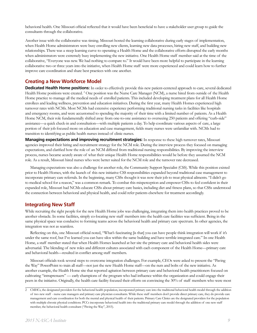behavioral health. One Missouri official reflected that it would have been beneficial to have a stakeholder user group to guide the consultants through the collaborative.

Another issue with the collaborative was timing. Missouri hosted the learning collaborative during early stages of implementation, when Health Home administrators were busy enrolling new clients, learning new data processes, hiring new staff, and building new relationships. There was a steep learning curve to operating a Health Home and the collaborative efforts disrupted the early months when administrators were extremely busy implementing the new initiative. One Health Home staff member said at the time of the collaborative, "Everyone was new. We had nothing to compare to." It would have been more helpful to participate in the learning collaborative two or three years into the initiative, when Health Home staff were more experienced and could learn how to further improve care coordination and share best practices with one another.

#### **Creating a New Workforce Model**

**Dedicated Health Home positions:** In order to effectively provide this new patient-centered approach to care, several dedicated Health Home positions were created. <sup>2</sup> One position was the Nurse Care Manager (NCM), a nurse hired from outside of the Health Home practice to manage all the medical needs of enrolled patients. This included developing treatment plans for all Health Home enrollees and leading wellness, prevention and education initiatives. During the first year, many Health Homes experienced high turnover rates with NCMs. Most NCMs had extensive experience performing traditional nursing tasks in facilities like hospitals and emergency rooms, and were accustomed to spending the majority of their time with a limited number of patients. As a Health Home NCM, their role fundamentally shifted away from one-to-one assistance to overseeing 250 patients and offering "curb-side" assistance—a quick check-in and consultation—with multiple patients a day. To help coordinate various aspects of care, a large portion of their job focused more on education and case management, fields many nurses were unfamiliar with. NCMs had to transition to identifying as public health nurses instead of clinic nurses.

**Managing expectations and improving recruitment strategies:** In response to these high turnover rates, Missouri agencies improved their hiring and recruitment strategy for the NCM role. During the interview process they focused on managing expectations, and clarified how the role of an NCM differed from traditional nursing responsibilities. By improving the interview process, nurses became acutely aware of what their unique Health Home responsibilities would be before they assumed the NCM role. As a result, Missouri hired nurses who were better suited for the NCM role and the turnover rate decreased.

Managing expectations was also a challenge for another role, the Community Support Specialist (CSS). While this position existed prior to Health Homes, with the launch of this new initiative CSS responsibilities expanded beyond traditional case management to incorporate primary care referrals. In the beginning, many CSSs thought it was now their job to treat physical ailments. "I didn't go to medical school for a reason," was a common remark. To combat this misperception and empower CSSs to feel confident in their expanded role, Missouri had NCMs educate CSSs about primary care basics, including diet and fitness plans, so that CSSs understood the connection between behavioral and physical health, and could refer patients elsewhere for treatment accordingly.

#### **Integrating New Staff**

While recruiting the right people for the new Health Home jobs was challenging, integrating them into health practices proved to be another obstacle. In some facilities, simply co-locating new staff members into the health care facilities was sufficient. Being in the same physical space was conducive to forming teams across the behavioral health and primary care spectrum. In other agencies, the integration was not as seamless.

Reflecting on this, one Missouri official noted, "What's fascinating [is that] you can have people think integration will work if it's under the same roof, but I've learned you can have silos within the same building and have terrible integrated care." In one Health Home, a staff member stated that when Health Homes launched at her site the primary care and behavioral health sides were adversarial. The blending of new roles and different cultures associated with each component of the Health Home—primary care and behavioral health—resulted in conflict among staff members.

Missouri officials took several steps to overcome integration challenges. For example, CEOs were asked to present the "Paving the Way" PowerPoint to train all staff—not just the new Health Home staff—on the nuts and bolts of the new initiative. As another example, the Health Home site that reported agitation between primary care and behavioral health practitioners focused on cultivating "intraprenuers" — early champions of the program who had influence within the organization and could engage their peers in the initiative. Originally, the health care facility focused their efforts on convincing the 30% of staff members who were most

<sup>2</sup> CMHCs, the designated providers for the behavioral health population, incorporated primary care into the traditional behavioral health model through the addition of two new staff - nurse care managers and primary care physician consultants. While these staff members don't provide direct primary care, they do provide care management and care coordination for both the mental and physical health of their patients. Primary Care Clinics are the designated providers for the population with multiple chronic physical conditions. PCCs incorporate behavioral health into the traditional primary care model through the addition of one new staff member, the behavioral health consultant ("Paving the Way", 2015).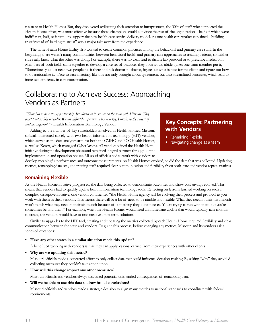resistant to Health Homes. But, they discovered redirecting their attention to intraprenuers, the 30% of staff who supported the Health Home effort, was more effective because those champions could convince the rest of the organization—half of which were indifferent; half, resistant—to support the new health care service delivery model. As one health care worker explained, "building trust instead of battling mistrust" was a major takeaway from the experience.

The same Health Home facility also worked to create common practices among the behavioral and primary care staff. In the beginning, there weren't many commonalities between behavioral health and primary care approaches to treating patients, so neither side really knew what the other was doing. For example, there was no clear lead to dictate lab protocol or to prescribe medication. Members of both fields came together to develop a core set of practices they both would abide by. As one team member put it, "Sometimes you just need two people to sit there and talk doctor-to-doctor, figure out what is best for the client, and figure out how to operationalize it." Face-to-face meetings like this not only brought about agreement, but also streamlined processes, which lead to increased efficiency in care coordination.

## Collaborating to Achieve Success: Approaching Vendors as Partners

*"There has to be a strong partnership. It's almost as if we are on the team with Missouri. They don't treat us like a vendor. We are definitely a partner. That is a key, I think, to the success of that arrangement."* - Health Information Technology Vendor

Adding to the number of key stakeholders involved in Health Homes, Missouri officials interacted closely with two health information technology (HIT) vendors, which served as the data analytics arm for both the CMHC and PCC Health Homes, as well as Xerox, which managed CyberAccess. All vendors joined the Health Home initiative during the development phase and remained integral partners throughout the implementation and operation phases. Missouri officials had to work with vendors to

### **Key Concepts: Partnering with Vendors**

- Remaining Flexible
- Navigating change as a team

develop meaningful performance and outcome measurements. As Health Homes evolved, so did the data that was collected. Updating metrics, remapping data sets, and training staff required clear communication and flexibility from both state and vendor representatives.

#### **Remaining Flexible**

As the Health Home initiative progressed, the data being collected to demonstrate outcomes and show cost savings evolved. This meant that vendors had to quickly update health information technology tools. Reflecting on lessons learned working on such a complex, disruptive initiative, one vendor commented "the Health Home agency will be evolving their process and protocol as you work with them as their vendors. This means there will be a lot of need to be nimble and flexible. What they need in their first month won't match what they need in their six month because of something they don't foresee. You're trying to run with them but you're sometimes behind them." For example, when the Health Homes would need an immediate update that would typically take months to create, the vendors would have to find creative short-term solutions.

Similar to upgrades to the HIT tool, creating and updating the metrics collected by each Health Home required flexibility and clear communication between the state and vendors. To guide this process, before changing any metrics, Missouri and its vendors ask a series of questions:

**• Have any other states in a similar situation made this update?** 

A benefit of working with vendors is that they can apply lessons learned from their experiences with other clients.

**• Why are we updating this metric?** 

Missouri officials made a concerted effort to only collect data that could influence decision-making. By asking "why" they avoided collecting measures they couldn't take action upon.

- **• How will this change impact any other measures?**
- Missouri officials and vendors always discussed potential unintended consequences of remapping data.
- **• Will we be able to use this data to draw broad conclusions?**

Missouri officials and vendors made a strategic decision to align many metrics to national standards to coordinate with federal requirements.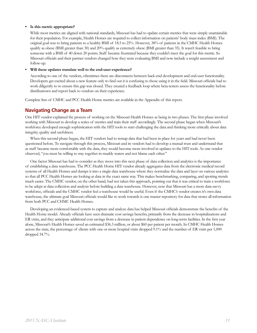#### **• Is this metric appropriate?**

While most metrics are aligned with national standards, Missouri has had to update certain metrics that were simply unattainable for their population. For example, Health Homes are required to collect information on patients' body mass index (BMI). The original goal was to bring patients to a healthy BMI of 18.5 to 25%. However, 38% of patients in the CMHC Health Homes qualify as obese (BMI greater than 30) and 20% qualify as extremely obese (BMI greater than 35). It wasn't feasible to bring someone with a BMI of 40 down 20 points. Staff became frustrated because they couldn't meet the goal for this metric. So Missouri officials and their partner vendors changed how they were evaluating BMI and now include a weight assessment and follow-up.

#### **• Will these updates translate well to the end-user experience?**

According to one of the vendors, oftentimes there are disconnects between back-end development and end-user functionality. Developers get excited about a new feature only to find out it is confusing to those using it in the field. Missouri officials had to work diligently to to ensure this gap was closed. They created a feedback loop where beta-testers assess the functionality before distributiown and report back to vendors on their experience.

Complete lists of CMHC and PCC Health Home metrics are available in the Appendix of this report.

#### **Navigating Change as a Team**

One HIT vendor explained the process of working on the Missouri Health Homes as being in two phases. The first phase involved working with Missouri to develop a series of metrics and train their staff accordingly. The second phase began when Missouri's workforce developed enough sophistication with the HIT tools to start challenging the data and thinking more critically about data integrity, quality and usefulness.

When this second phase began, the HIT vendors had to remap data that had been in place for years and had never been questioned before. To navigate through this process, Missouri and its vendors had to develop a mutual trust and understand that as staff became more comfortable with the data, they would become more involved in updates to the HIT tools. As one vendor observed, "you must be willing to stay together in muddy waters and not blame each other."

One factor Missouri has had to consider as they move into this next phase of data collection and analytics is the importance of establishing a data warehouse. The PCC Health Home HIT vendor already aggregates data from the electronic medical record systems of all Health Homes and dumps it into a single data warehouse where they normalize the data and layer on various analytics so that all PCC Health Homes are looking at data in the exact same way. This makes benchmarking, comparing, and spotting trends much easier. The CMHC vendor, on the other hand, had not taken this approach, pointing out that it was critical to train a workforce to be adept at data collection and analysis before building a data warehouse. However, now that Missouri has a more data-savvy workforce, officials and the CMHC vendor feel a warehouse would be useful. Even if the CMHC's vendor creates it's own data warehouse, the ultimate goal Missouri officials would like to work towards is one master repository for data that stores all information from both PCC and CHMC Health Homes.

Developing an evidenced-based system to capture and analyze data has helped Missouri officials demonstrate the benefits of the Health Home model. Already officials have seen dramatic cost savings benefits, primarily from the decrease in hospitalizations and ER visits, and they anticipate additional cost savings from a decrease in patient dependence on long-term facilities. In the first year alone, Missouri's Health Homes saved an estimated \$36.3 million, or about \$60 per patient per month. In CMHC Health Homes across the state, the percentage of clients with one or more hospital visits dropped 9.1% and the number of ER visits per 1,000 dropped 34.7%.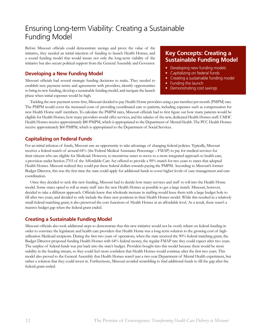# Ensuring Long-term Viability: Creating a Sustainable Funding Model

Before Missouri officials could demonstrate savings and prove the value of the initiative, they needed an initial injection of funding to launch Health Homes, and a sound funding model that would insure not only the long-term viability of the initiative but also secure political support from the General Assembly and Governor.

#### **Developing a New Funding Model**

Missouri officials had several strategic funding decisions to make. They needed to establish new payment terms and agreements with providers, identify opportunities to bring in new funding, develop a sustainable funding model, and navigate the launch phase when initial expenses would be high.

### **Key Concepts: Creating a Sustainable Funding Model**

- Developing new funding models
- Capitalizing on federal funds
- Creating a sustainable funding model
- Funding the launch
- Demonstrating cost savings

Tackling the new payment terms first, Missouri decided to pay Health Home providers using a per member per month (PMPM) rate. The PMPM would cover the increased costs of providing coordinated care to patients, including expenses such as compensation for new Health Home staff members. To calculate the PMPM rates, Missouri officials had to first figure out how many patients would be eligible for Health Homes, how many providers would offer services, and the salaries of the new, dedicated Health Homes staff. CMHC Health Homes receive approximately \$80 PMPM, which is appropriated to the Department of Mental Health. The PCC Health Homes receive approximately \$60 PMPM, which is appropriated to the Department of Social Services.

#### **Capitalizing on Federal Funds**

For an initial infusion of funds, Missouri saw an opportunity to take advantage of changing federal policies. Typically, Missouri receives a federal match of around 64% (the Federal Medical Assistance Percentage – FMAP) to pay for medical services for their citizens who are eligible for Medicaid. However, to incentivize states to move to a more integrated approach to health care, a provision under Section 2703 of the Affordable Care Act offered to provide a 90% match for two years to states that adopted Health Homes. Missouri realized they could put these federal dollars towards paying the PMPM. According to Missouri's former Budget Director, this was the first time the state could apply for additional funds to cover higher levels of case management and care coordination.

Once they decided to seek this new funding, Missouri had to decide how many services and staff to roll into the Health Home model. Some states opted to roll as many staff into the new Health Homes as possible to get a large match. Missouri, however, decided to take a different approach. Officials knew that wholesale increase in staffing would leave them with a large budget hole to fill after two years, and decided to only include the three new positions in their Health Homes model. While this resulted in a relatively small federal matching grant, it also preserved the core functions of Health Homes at an affordable level. As a result, there wasn't a massive budget gap when the federal grant ended.

#### **Creating a Sustainable Funding Model**

Missouri officials also took additional steps to demonstrate that this new initiative would not be overly reliant on federal funding in order to convince the legislature and health care providers that Health Home was a long-term solution to the growing cost of highutilization Medicaid recipients. During the first two years of operations, when the state received the 90% federal matching grant, the Budget Director proposed funding Health Homes with 64% federal money, the regular FMAP rate they could expect after two years. The surplus of federal funds was put back into the state's budget. Providers bought into this model because there would be more stability in the funding stream, so they could feel more confident that Health Homes would continue after the first two years. This model also proved to the General Assembly that Health Homes wasn't just a two-year Department of Mental Health experiment, but rather a solution that they could invest in. Furthermore, Missouri avoided scrambling to find additional funds to fill the gap after the federal grant ended.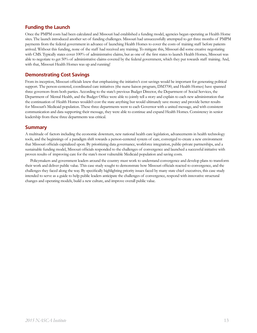#### **Funding the Launch**

Once the PMPM costs had been calculated and Missouri had established a funding model, agencies began operating as Health Home sites. The launch introduced another set of funding challenges. Missouri had unsuccessfully attempted to get three months of PMPM payments from the federal government in advance of launching Health Homes to cover the costs of training staff before patients arrived. Without this funding, none of the staff had received any training. To mitigate this, Missouri did some creative negotiating with CMS. Typically states cover 100% of administrative claims, but as one of the first states to launch Health Homes, Missouri was able to negotiate to get 50% of administrative claims covered by the federal government, which they put towards staff training. And, with that, Missouri Health Homes was up and running!

#### **Demonstrating Cost Savings**

From its inception, Missouri officials knew that emphasizing the initiative's cost savings would be important for generating political support. The person-centered, coordinated care initiatives (the nurse liaison program, DM3700, and Health Homes) have spanned three governors from both parties. According to the state's previous Budget Director, the Department of Social Services, the Department of Mental Health, and the Budget Office were able to jointly tell a story and explain to each new administration that the continuation of Health Homes wouldn't cost the state anything but would ultimately save money and provide better results for Missouri's Medicaid population. These three departments went to each Governor with a united message, and with consistent communication and data supporting their message, they were able to continue and expand Health Homes. Consistency in senior leadership from these three departments was critical.

#### **Summary**

A multitude of factors including the economic downturn, new national health care legislation, advancements in health technology tools, and the beginnings of a paradigm shift towards a person-centered system of care, converged to create a new environment that Missouri officials capitalized upon. By prioritizing data governance, workforce integration, public-private partnerships, and a sustainable funding model, Missouri officials responded to the challenges of convergence and launched a successful initiative with proven results of improving care for the state's most vulnerable Medicaid population and saving costs.

Policymakers and government leaders around the country must work to understand convergence and develop plans to transform their work and deliver public value. This case study sought to demonstrate how Missouri officials reacted to convergence, and the challenges they faced along the way. By specifically highlighting priority issues faced by many state chief executives, this case study intended to serve as a guide to help public leaders anticipate the challenges of convergence, respond with innovative structural changes and operating models, build a new culture, and improve overall public value.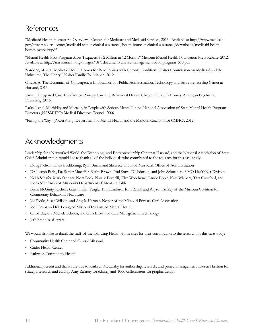# References

"Medicaid Health Homes: An Overview:" Centers for Medicare and Medicaid Services, 2015. Available at http://www.medicaid. gov/state-resource-center/medicaid-state-technical-assistance/health-homes-technical-assistance/downloads/medicaid-healthhomes-overview.pdf

"Mental Health Pilot Program Saves Taxpayers \$9.2 Million in 12 Months" Missouri Mental Health Foundation Press Release. 2012. Available at http://missourimhf.org/images/187/document/disease-management-3700-program\_518.pdf

Nardone, M. et al. Medicaid Health Homes for Beneficiaries with Chronic Conditions. Kaiser Commission on Medicaid and the Uninsured, The Henry J. Kaiser Family Foundation, 2012.

Oftelie, A. The Dynamics of Convergence: Implications for Public Administration. Technology and Entrepreneurship Center at Harvard, 2015.

Parks, J. Integrated Care: Interface of Primary Care and Behavioral Health. Chapter 9: Health Homes. American Psychiatric Publishing, 2015.

Parks, J. et al. Morbidity and Mortality in People with Serious Mental Illness. National Association of State Mental Health Program Directors (NASMHPD) Medical Directors Council, 2006.

"Paving the Way" (PowerPoint). Department of Mental Health and the Missouri Coalition for CMHCs, 2012.

# Acknowledgments

Leadership for a Networked World, the Technology and Entrepreneurship Center at Harvard, and the National Association of State Chief Administrators would like to thank all of the individuals who contributed to the research for this case study:

- Doug Nelson, Linda Luebbering, Ryan Burns, and Sherrece Smith of Missouri's Office of Administration
- Dr. Joseph Parks, Dr. Samar Muzaffar, Kathy Brown, Paul Stuve, DJ Johnson, and John Schneider of MO HealthNet Division
- Keith Schafer, Mark Stringer, Nora Bock, Natalie Fornelli, Clive Woodward, Laurie Epple, Kate Wieberg, Tara Crawford, and Dorn Schuffman of Missouri's Department of Mental Health
- Brent McGinty, Rachelle Glavin, Kim Yeagle, Tim Swinfard, Tom Rehak and Allyson Ashley of the Missouri Coalition for Community Behavioral Healthcare
- Joe Pierle, Susan Wilson, and Angela Herman-Nestor of the Missouri Primary Care Association
- Jodi Heaps and Kit Leung of Missouri Institute of Mental Health
- Carol Clayton, Michele Schoen, and Gina Brown of Care Management Technology
- Jeff Brandes of Azara

We would also like to thank the staff of the following Health Home sites for their contribution to the research for this case study:

- Community Health Center of Central Missouri
- Crider Health Center
- Pathways Community Health

Additionally, credit and thanks are due to Kathryn McCarthy for authorship, research, and project management, Lauren Hirshon for strategy, research and editing, Amy Ramsay for editing, and Todd Gillenwaters for graphic design.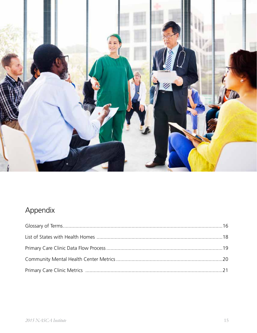

# Appendix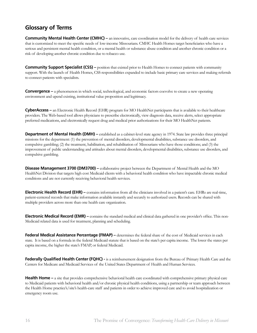### **Glossary of Terms**

**Community Mental Health Center (CMHC) –** an innovative, care coordination model for the delivery of health care services that is customized to meet the specific needs of low-income Missourians. CMHC Health Homes target beneficiaries who have a serious and persistent mental health condition, or a mental health or substance abuse condition and another chronic condition or a risk of developing another chronic condition due to tobacco use.

**Community Support Specialist (CSS) –** position that existed prior to Health Homes to connect patients with community support. With the launch of Health Homes, CSS responsibilities expanded to include basic primary care services and making referrals to connect patients with specialists.

**Convergence –** a phenomenon in which social, technological, and economic factors coevolve to create a new operating environment and upend existing, institutional value proposition and legitimacy.

**CyberAccess –** an Electronic Health Record (EHR) program for MO HealthNet participants that is available to their healthcare providers. The Web-based tool allows physicians to prescribe electronically, view diagnosis data, receive alerts, select appropriate preferred medications, and electronically request drug and medical prior authorizations for their MO HealthNet patients.

**Department of Mental Health (DMH)** – established as a cabinet-level state agency in 1974. State law provides three principal missions for the department: (1) the prevention of mental disorders, developmental disabilities, substance use disorders, and compulsive gambling; (2) the treatment, habilitation, and rehabilitation of Missourians who have those conditions; and (3) the improvement of public understanding and attitudes about mental disorders, developmental disabilities, substance use disorders, and compulsive gambling.

**Disease Management 3700 (DM3700) –** collaborative project between the Department of Mental Health and the MO HealthNet Division that targets high cost Medicaid clients with a behavioral health condition who have impactable chronic medical conditions and are not currently receiving behavioral health services.

**Electronic Health Record (EHR)** – contains information from all the clinicians involved in a patient's care. EHRs are real-time, patient-centered records that make information available instantly and securely to authorized users. Records can be shared with multiple providers across more than one health care organization.

**Electronic Medical Record (EMR) –** contains the standard medical and clinical data gathered in one provider's office. This non-Medicaid related data is used for treatment, planning and scheduling.

**Federal Medical Assistance Percentage (FMAP)** – determines the federal share of the cost of Medicaid services in each state. It is based on a formula in the federal Medicaid statute that is based on the state's per capita income. The lower the states per capita income, the higher the state's FMAP, or federal Medicaid.

**Federally Qualified Health Center (FQHC) -** is a reimbursement designation from the Bureau of Primary Health Care and the Centers for Medicare and Medicaid Services of the United States Department of Health and Human Services.

Health Home – a site that provides comprehensive behavioral health care coordinated with comprehensive primary physical care to Medicaid patients with behavioral health and/or chronic physical health conditions, using a partnership or team approach between the Health Home practice's/site's health-care staff and patients in order to achieve improved care and to avoid hospitalization or emergency room use.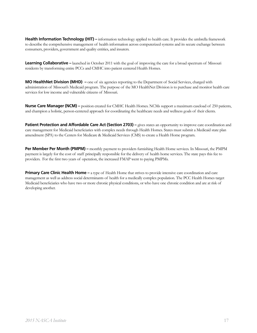Health Information Technology (HIT) – information technology applied to health care. It provides the umbrella framework to describe the comprehensive management of health information across computerized systems and its secure exchange between consumers, providers, government and quality entities, and insurers.

**Learning Collaborative –** launched in October 2011 with the goal of improving the care for a broad spectrum of Missouri residents by transforming entire PCCs and CMHC into patient centered Health Homes.

**MO HealthNet Division (MHD)** – one of six agencies reporting to the Department of Social Services, charged with administration of Missouri's Medicaid program. The purpose of the MO HealthNet Division is to purchase and monitor health care services for low income and vulnerable citizens of Missouri.

**Nurse Care Manager (NCM) –** position created for CMHC Health Homes. NCMs support a maximum caseload of 250 patients, and champion a holistic, person-centered approach for coordinating the healthcare needs and wellness goals of their clients.

**Patient Protection and Affordable Care Act (Section 2703)** – gives states an opportunity to improve care coordination and care management for Medicaid beneficiaries with complex needs through Health Homes. States must submit a Medicaid state plan amendment (SPA) to the Centers for Medicare & Medicaid Services (CMS) to create a Health Home program.

**Per Member Per Month (PMPM)** – monthly payment to providers furnishing Health Home services. In Missouri, the PMPM payment is largely for the cost of staff principally responsible for the delivery of health home services. The state pays this fee to providers. For the first two years of operation, the increased FMAP went to paying PMPMs.

**Primary Care Clinic Health Home –** a type of Health Home that strives to provide intensive care coordination and care management as well as address social determinants of health for a medically complex population. The PCC Health Homes target Medicaid beneficiaries who have two or more chronic physical conditions, or who have one chronic condition and are at risk of developing another.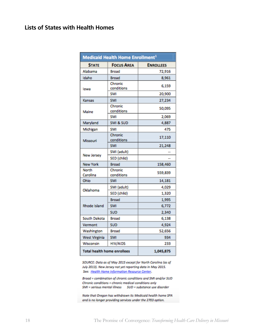### **Lists of States with Health Homes**

| Medicaid Health Home Enrollment <sup>1</sup> |                       |                  |  |  |  |
|----------------------------------------------|-----------------------|------------------|--|--|--|
| <b>STATE</b>                                 | <b>FOCUS AREA</b>     | <b>ENROLLEES</b> |  |  |  |
| Alabama                                      | Broad                 | 72,916           |  |  |  |
| Idaho                                        | <b>Broad</b>          | 8,961            |  |  |  |
| lowa                                         | Chronic<br>conditions | 6,159            |  |  |  |
|                                              | <b>SMI</b>            | 20,900           |  |  |  |
| Kansas                                       | <b>SMI</b>            | 27,234           |  |  |  |
| Maine                                        | Chronic<br>conditions | 50,095           |  |  |  |
|                                              | <b>SMI</b>            | 2,069            |  |  |  |
| Maryland                                     | SMI & SUD             | 4,887            |  |  |  |
| Michigan                                     | <b>SMI</b>            | 475              |  |  |  |
| Missouri                                     | Chronic<br>conditions | 17,110           |  |  |  |
|                                              | <b>SMI</b>            | 21,248           |  |  |  |
|                                              | SMI (adult)           |                  |  |  |  |
| New Jersey                                   | SED (child)           |                  |  |  |  |
| <b>New York</b>                              | <b>Broad</b>          | 158,460          |  |  |  |
| North<br>Carolina                            | Chronic<br>conditions | 559,839          |  |  |  |
| Ohio                                         | <b>SMI</b>            | 14,181           |  |  |  |
|                                              | SMI (adult)           | 4,029            |  |  |  |
| Oklahoma                                     | SED (child)           | 1,320            |  |  |  |
|                                              | Broad                 | 1,995            |  |  |  |
| Rhode Island                                 | <b>SMI</b>            | 6,772            |  |  |  |
|                                              | SUD                   | 2,340            |  |  |  |
| South Dakota                                 | Broad                 | 6,138            |  |  |  |
| Vermont                                      | <b>SUD</b>            | 4,924            |  |  |  |
| Washington                                   | Broad                 | 52,656           |  |  |  |
| <b>West Virginia</b>                         | <b>SMI</b>            | 934              |  |  |  |
| Wisconsin                                    | <b>HIV/AIDS</b>       | 233              |  |  |  |
| <b>Total health home enrollees</b>           |                       | 1,045,875        |  |  |  |

SOURCE: Data as of May 2015 except for North Carolina (as of July 2013). New Jersey not yet reporting data in May 2015. See: Health Home Information Resource Center.

Broad = combination of chronic conditions and SMI and/or SUD Chronic conditions = chronic medical conditions only 

Note that Oregon has withdrawn its Medicaid health home SPA and is no longer providing services under the 2703 option.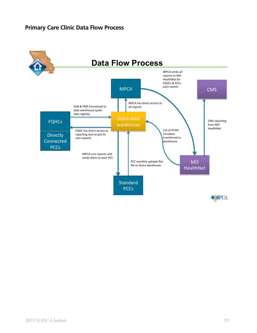### **Primary Care Clinic Data Flow Process**

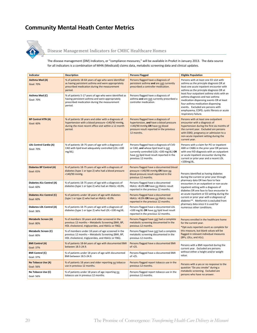### **Community Mental Heath Center Metrics**



#### Disease Management Indicators for CMHC Healthcare Homes

The disease management (DM) indicators, or "compliance measures," will be available in ProAct in January 2013. The data source for all indicators is a combination of MHN (Medicaid) claims data, metabolic screening data and clinical updates.

| Indicator                                       | Description                                                                                                                                                                  | <b>Persons Flagged</b>                                                                                                                                                                           | <b>Eligible Population</b>                                                                                                                                                                                                                                                                                                                                                                                                                                         |  |
|-------------------------------------------------|------------------------------------------------------------------------------------------------------------------------------------------------------------------------------|--------------------------------------------------------------------------------------------------------------------------------------------------------------------------------------------------|--------------------------------------------------------------------------------------------------------------------------------------------------------------------------------------------------------------------------------------------------------------------------------------------------------------------------------------------------------------------------------------------------------------------------------------------------------------------|--|
| <b>Asthma Med (A)</b><br><b>Goal: 70%</b>       | % of patients 18-64 years of age who were identified<br>as having persistent asthma and were appropriately<br>prescribed medication during the measurement<br>period.        | Persons flagged have a diagnosis of<br>persistent asthma and are not currently<br>prescribed a controller medication.                                                                            | Persons with at least one ED visit with<br>asthma as the principle diagnosis OR at<br>least one acute inpatient encounter with<br>asthma as the principle diagnosis OR at<br>least four outpatient asthma visits with an<br>asthma diagnosis and two asthma<br>medication dispensing events OR at least<br>four asthma medication dispensing<br>events. Excluded are persons with<br>emphysema, COPD, cystic fibrosis or acute<br>respiratory failure.             |  |
| Asthma Med (C)<br><b>Goal: 70%</b>              | % of patients 5-17 years of age who were identified as<br>having persistent asthma and were appropriately<br>prescribed medication during the measurement<br>period.         | Persons flagged have a diagnosis of<br>asthma and are not currently prescribed a<br>controller medication.                                                                                       |                                                                                                                                                                                                                                                                                                                                                                                                                                                                    |  |
| <b>BP Control HTN (A)</b><br><b>Goal: 60%</b>   | % of patients 18 years and older with a diagnosis of<br>hypertension with a blood pressure <140/90 mmHg,<br>during the most recent office visit within a 12 month<br>period. | Persons flagged have a diagnosis of<br>hypertension, and have a blood pressure<br>>140/90 mmHg OR have no blood<br>pressure result reported in the previous<br>12 months.                        | Persons with at least one outpatient<br>encounter with a diagnosis of<br>hypertension during the first six months of<br>the current year. Excluded are persons<br>with ESRD, pregnancy or admission to a<br>non-acute inpatient setting during the<br>current year.                                                                                                                                                                                                |  |
| LDL Control Cardio (A)<br>Goal: 70%             | % of patients 18-75 years of age with a diagnosis of<br>CAD with lipid level adequately controlled (LDL <100<br>$mg/dL$ ).                                                   | Persons flagged have a diagnosis of CVD<br>or CAD, and whose lipid level is not<br>currently controlled (LDL >100 mg/dL) OR<br>have no lipid level result reported in the<br>previous 12 months. | Persons with a claim for PCI or inpatient<br>AMI or CABG in the prior year OR persons<br>with one IVD diagnosis with an outpatient<br>or acute inpatient encounter during the<br>current or prior year and a recent LDL<br>$<$ 100 $mg/dL$ .                                                                                                                                                                                                                       |  |
| Diabetes BP Control (A)<br><b>Goal: 65%</b>     | % of patients 18-75 years of age with a diagnosis of<br>diabetes (type 1 or type 2) who had a blood pressure<br><140/90 mmHg.                                                | Persons flagged have a documented blood<br>pressure >140/90 mmHg OR have no<br>blood pressure result reported in the<br>previous 12 months.                                                      | Persons identified as having diabetes<br>during the current or prior year through<br>pharmacy data OR two face to face<br>encounters in an outpatient or non-acute<br>inpatient setting with a diagnosis of<br>diabetes OR one face to face encounter in<br>an acute inpatient or ED setting during the<br>current or prior year with a diagnosis of<br>diabetes**. Metformin is excluded from<br>pharmacy data since it is used for<br>numerous other conditions. |  |
| Diabetes A1c Control (A)<br>Goal: 60%           | % of patients 18-75 years of age with a diagnosis of<br>diabetes (type 1 or type 2) who had an HbA1c <8.0%.                                                                  | Persons flagged have a documented<br>HbA1c >8.0% OR have no HbA1c result<br>reported in the previous 12 months.                                                                                  |                                                                                                                                                                                                                                                                                                                                                                                                                                                                    |  |
| Diabetes A1c Control (C)<br><b>Goal: 60%</b>    | % of patients under 18 years of age with diabetes<br>(type 1 or type 2) who had an HbA1c <8.0%.                                                                              | Persons flagged have a documented<br>HbA1c >8.0% OR have no HbA1c result<br>reported in the previous 12 months.                                                                                  |                                                                                                                                                                                                                                                                                                                                                                                                                                                                    |  |
| Diabetes LDL Control (A)<br>Goal: 36%           | % of patients 18-75 years of age with a diagnosis of<br>diabetes (type 1 or type 2) who had LDL <100 mg/dL.                                                                  | Persons flagged have a documented LDL<br>>100 mg/dL OR have no lipid level result<br>reported in the previous 12 months.                                                                         |                                                                                                                                                                                                                                                                                                                                                                                                                                                                    |  |
| <b>Metabolic Screen (A)</b><br><b>Goal: 80%</b> | % of members 18 years and older screened in the<br>previous 12 months - Metabolic Screening (BMI, BP,<br>HDL cholesterol, triglycerides, and HbA1c or FBG).                  | Persons flagged have not had a complete<br>metabolic screening documented in the<br>previous 12 months.                                                                                          | Persons enrolled in the healthcare home<br>for the current year.<br>*Opt-outs reported count as complete for<br>this measure, but blank values will be<br>flagged in relevant individual measures<br>(BPs, LDLs, and A1c).                                                                                                                                                                                                                                         |  |
| <b>Metabolic Screen (C)</b><br><b>Goal: 80%</b> | % of members under 18 years of age screened in the<br>previous 12 months - Metabolic Screening (BMI, BP,<br>HDL cholesterol, triglycerides, and HbA1c or FBG).               | Persons flagged have not had a complete<br>metabolic screening documented in the<br>previous 12 months.                                                                                          |                                                                                                                                                                                                                                                                                                                                                                                                                                                                    |  |
| <b>BMI Control (A)</b><br><b>Goal: 37%</b>      | % of patients 18-64 years of age with documented BMI<br>between 18.5-24.9.                                                                                                   | Persons flagged have a documented BMI<br>of $>25$ .                                                                                                                                              | Persons with a BMI reported during the<br>current year. Excluded are persons<br>without either a height and/or weight<br>value.                                                                                                                                                                                                                                                                                                                                    |  |
| <b>BMI Control (C)</b><br>Goal: 37%             | % of patients under 18 years of age with documented<br>BMI between 18.5-24.9.                                                                                                | Persons flagged have a documented BMI<br>of $>25$ .                                                                                                                                              |                                                                                                                                                                                                                                                                                                                                                                                                                                                                    |  |
| No Tobacco Use (A)<br><b>Goal: 56%</b>          | % of patients 18 years and older reporting no tobacco<br>use in previous 12 months.                                                                                          | Persons flagged report tobacco use in the<br>previous 12 months.                                                                                                                                 | Persons with a yes or no response to the<br>question "Do you smoke" during a<br>metabolic screening. Excluded are<br>persons who have no answer.                                                                                                                                                                                                                                                                                                                   |  |
| No Tobacco Use (C)<br>Goal: 56%                 | % of patients under 18 years of age reporting no<br>tobacco use in previous 12 months.                                                                                       | Persons flagged report tobacco use in the<br>previous 12 months.                                                                                                                                 |                                                                                                                                                                                                                                                                                                                                                                                                                                                                    |  |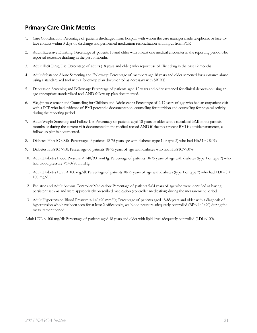### **Primary Care Clinic Metrics**

- 1. Care Coordination: Percentage of patients discharged from hospital with whom the care manager made telephonic or face-toface contact within 3 days of discharge and performed medication reconciliation with input from PCP.
- 2. Adult Excessive Drinking: Percentage of patients 18 and older with at least one medical encounter in the reporting period who reported excessive drinking in the past 3 months.
- 3. Adult Illicit Drug Use: Percentage of adults (18 years and older) who report use of illicit drug in the past 12 months
- 4. Adult Substance Abuse Screening and Follow-up: Percentage of members age 18 years and older screened for substance abuse using a standardized tool with a follow-up plan documented as necessary with SBIRT.
- 5. Depression Screening and Follow-up: Percentage of patients aged 12 years and older screened for clinical depression using an age appropriate standardized tool AND follow-up plan documented.
- 6. Weight Assessment and Counseling for Children and Adolescents: Percentage of 2-17 years of age who had an outpatient visit with a PCP who had evidence of BMI percentile documentation, counseling for nutrition and counseling for physical activity during the reporting period.
- 7. Adult Weight Screening and Follow-Up: Percentage of patients aged 18 years or older with a calculated BMI in the past six months or during the current visit documented in the medical record AND if the most recent BMI is outside parameters, a follow-up plan is documented.
- 8. Diabetes HbA1C <8.0: Percentage of patients 18-75 years age with diabetes (type 1 or type 2) who had HbA1c< 8.0%
- 9. Diabetes HbA1C >9.0: Percentage of patients 18-75 years of age with diabetes who had HbA1C>9.0%
- 10. Adult Diabetes Blood Pressure < 140/90 mmHg: Percentage of patients 18-75 years of age with diabetes (type 1 or type 2) who had blood pressure <140/90 mmHg
- 11. Adult Diabetes LDL < 100 mg/dl: Percentage of patients 18-75 years of age with diabetes (type 1 or type 2) who had LDL-C <  $100 \text{ mg/dL}$
- 12. Pediatric and Adult Asthma Controller Medication: Percentage of patients 5-64 years of age who were identified as having persistent asthma and were appropriately prescribed medication (controller medication) during the measurement period.
- 13. Adult Hypertension Blood Pressure < 140/90 mmHg: Percentage of patients aged 18-85 years and older with a diagnosis of hypertension who have been seen for at least 2 office visits, w/ blood pressure adequately controlled (BP< 140/90) during the measurement period.

Adult LDL < 100 mg/dl: Percentage of patients aged 18 years and older with lipid level adequately controlled (LDL<100).